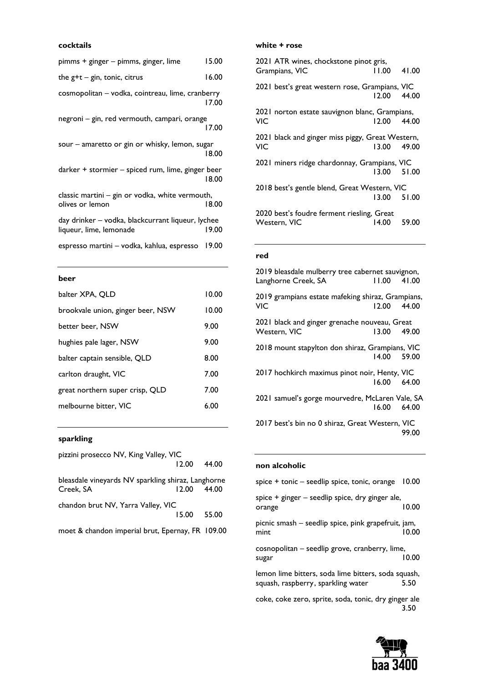### **cocktails**

| pimms + ginger – pimms, ginger, lime                                         | 15.00 |
|------------------------------------------------------------------------------|-------|
| the $g+t - g$ in, tonic, citrus                                              | 16.00 |
| cosmopolitan - vodka, cointreau, lime, cranberry                             | 17.00 |
| negroni – gin, red vermouth, campari, orange                                 | 17.00 |
| sour – amaretto or gin or whisky, lemon, sugar                               | 18.00 |
| darker + stormier - spiced rum, lime, ginger beer                            | 18.00 |
| classic martini - gin or vodka, white vermouth,<br>olives or lemon           | 18.00 |
| day drinker – vodka, blackcurrant liqueur, lychee<br>liqueur, lime, lemonade | 19.00 |
| espresso martini – vodka, kahlua, espresso                                   | 19.00 |
|                                                                              |       |

### **beer**

| 10.00 |
|-------|
| 10.00 |
| 9.00  |
| 9.00  |
| 8.00  |
| 7.00  |
| 7.00  |
| 6.00  |
|       |

### **sparkling**

| pizzini prosecco NV, King Valley, VIC              |       |       |
|----------------------------------------------------|-------|-------|
|                                                    | 12.00 | 44.00 |
| bleasdale vineyards NV sparkling shiraz, Langhorne |       |       |
| Creek, SA                                          | 12.00 | 44.00 |
| chandon brut NV, Yarra Valley, VIC                 |       |       |
|                                                    | 15.00 | 55.00 |
|                                                    |       |       |

moet & chandon imperial brut, Epernay, FR 109.00

#### **white + rose**

| 2021 ATR wines, chockstone pinot gris,<br>Grampians, VIC   | $11.00$ 41.00 |  |
|------------------------------------------------------------|---------------|--|
| 2021 best's great western rose, Grampians, VIC             | 12.00 44.00   |  |
| 2021 norton estate sauvignon blanc, Grampians,<br>VIC      | 12.00 44.00   |  |
| 2021 black and ginger miss piggy, Great Western,<br>VIC    | 13.00 49.00   |  |
| 2021 miners ridge chardonnay, Grampians, VIC               | 13.00 51.00   |  |
| 2018 best's gentle blend, Great Western, VIC               | 13.00 51.00   |  |
| 2020 best's foudre ferment riesling, Great<br>Western. VIC | 14.00 59.00   |  |

## **red**

| 2019 bleasdale mulberry tree cabernet sauvignon,                |             |       |
|-----------------------------------------------------------------|-------------|-------|
| Langhorne Creek, SA                                             | 11.00       | 41.00 |
| 2019 grampians estate mafeking shiraz, Grampians,<br><b>VIC</b> | 12.00 44.00 |       |
| 2021 black and ginger grenache nouveau, Great<br>Western, VIC   | 13.00 49.00 |       |
| 2018 mount stapylton don shiraz, Grampians, VIC                 | 14.00 59.00 |       |
| 2017 hochkirch maximus pinot noir, Henty, VIC                   | 16.00 64.00 |       |
| 2021 samuel's gorge mourvedre, McLaren Vale, SA                 | 16.00 64.00 |       |
| 2017 best's bin no 0 shiraz, Great Western, VIC                 |             |       |

### **non alcoholic**

| spice + tonic – seedlip spice, tonic, orange                | 10.00 |
|-------------------------------------------------------------|-------|
| spice + ginger - seedlip spice, dry ginger ale,<br>orange   | 10.00 |
| picnic smash - seedlip spice, pink grapefruit, jam,<br>mint | 10.00 |
| cosnopolitan - seedlip grove, cranberry, lime,<br>sugar     | 10.00 |
| lemon lime bitters, soda lime bitters, soda squash,         |       |

squash, raspberry, sparkling water 5.50

coke, coke zero, sprite, soda, tonic, dry ginger ale 3.50



99.00